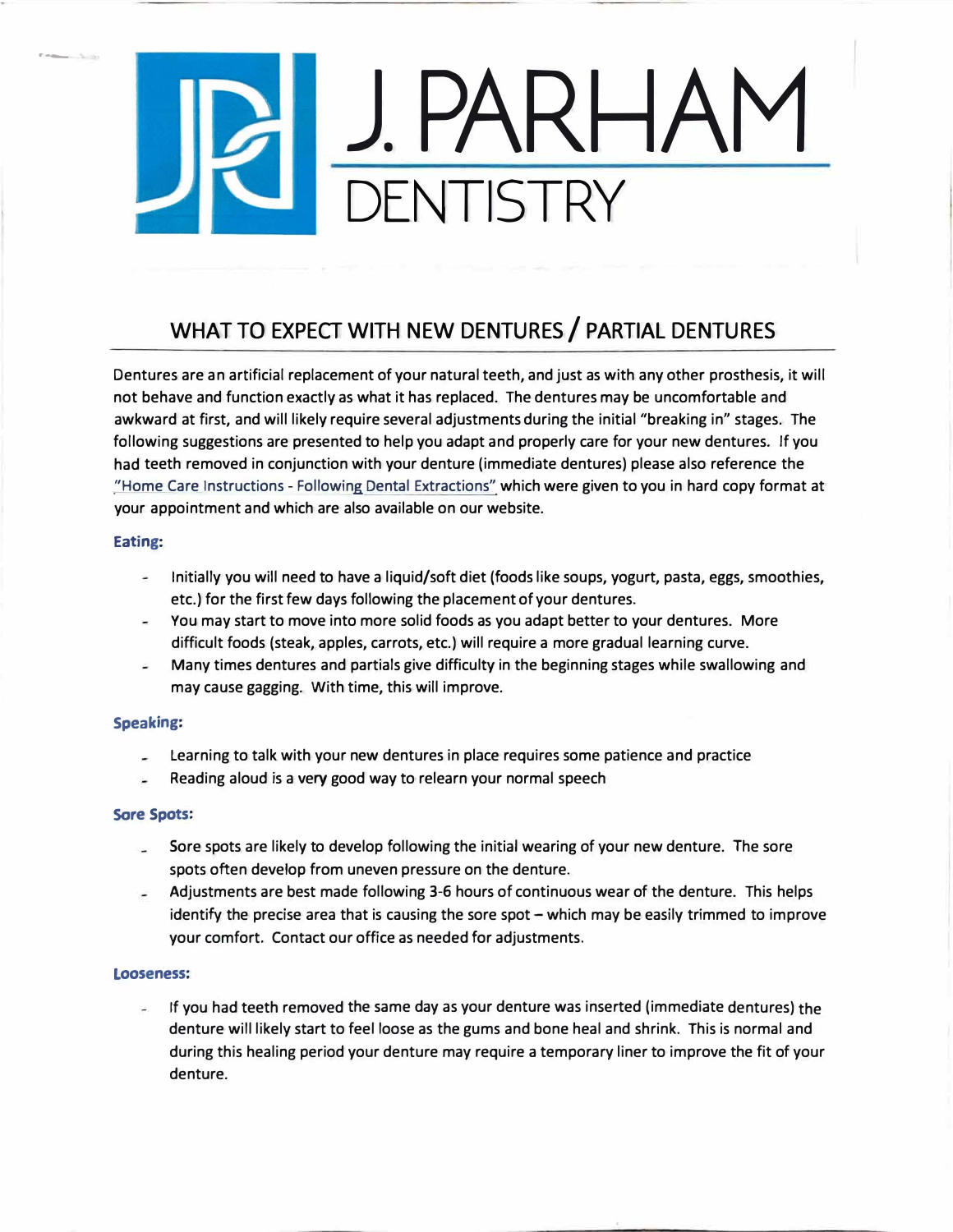# **J.PARHAM FNTISTRY**

## **WHAT TO EXPECT WITH NEW DENTURES/ PARTIAL DENTURES**

Dentures are an artificial replacement of your natural teeth, and just as with any other prosthesis, it will not behave and function exactly as what it has replaced. The dentures may be uncomfortable and awkward at first, and will likely require several adjustments during the initial "breaking in" stages. The following suggestions are presented to help you adapt and properly care for your new dentures. If you had teeth removed in conjunction with your denture (immediate dentures) please also reference the "Home Care Instructions - Following Dental Extractions" which were given to you in hard copy format at your appointment and which are also available on our website.

### **Eating:**

·-

- Initially you will need to have a liquid/soft diet (foods like soups, yogurt, pasta, eggs, smoothies, etc.) for the first few days following the placement of your dentures.
- You may start to move into more solid foods as you adapt better to your dentures. More difficult foods (steak, apples, carrots, etc.) will require a more gradual learning curve.
- Many times dentures and partials give difficulty in the beginning stages while swallowing and may cause gagging. With time, this will improve.

### **Speaking:**

- Learning to talk with your new dentures in place requires some patience and practice  $\sim$
- Reading aloud is a very good way to relearn your normal speech

#### **Sore Spots:**

- Sore spots are likely to develop following the initial wearing of your new denture. The sore spots often develop from uneven pressure on the denture.
- Adjustments are best made following 3-6 hours of continuous wear of the denture. This helps identify the precise area that is causing the sore spot - which may be easily trimmed to improve your comfort. Contact our office as needed for adjustments.

#### **Looseness:**

If you had teeth removed the same day as your denture was inserted (immediate dentures) the denture will likely start to feel loose as the gums and bone heal and shrink. This is normal and during this healing period your denture may require a temporary liner to improve the fit of your denture.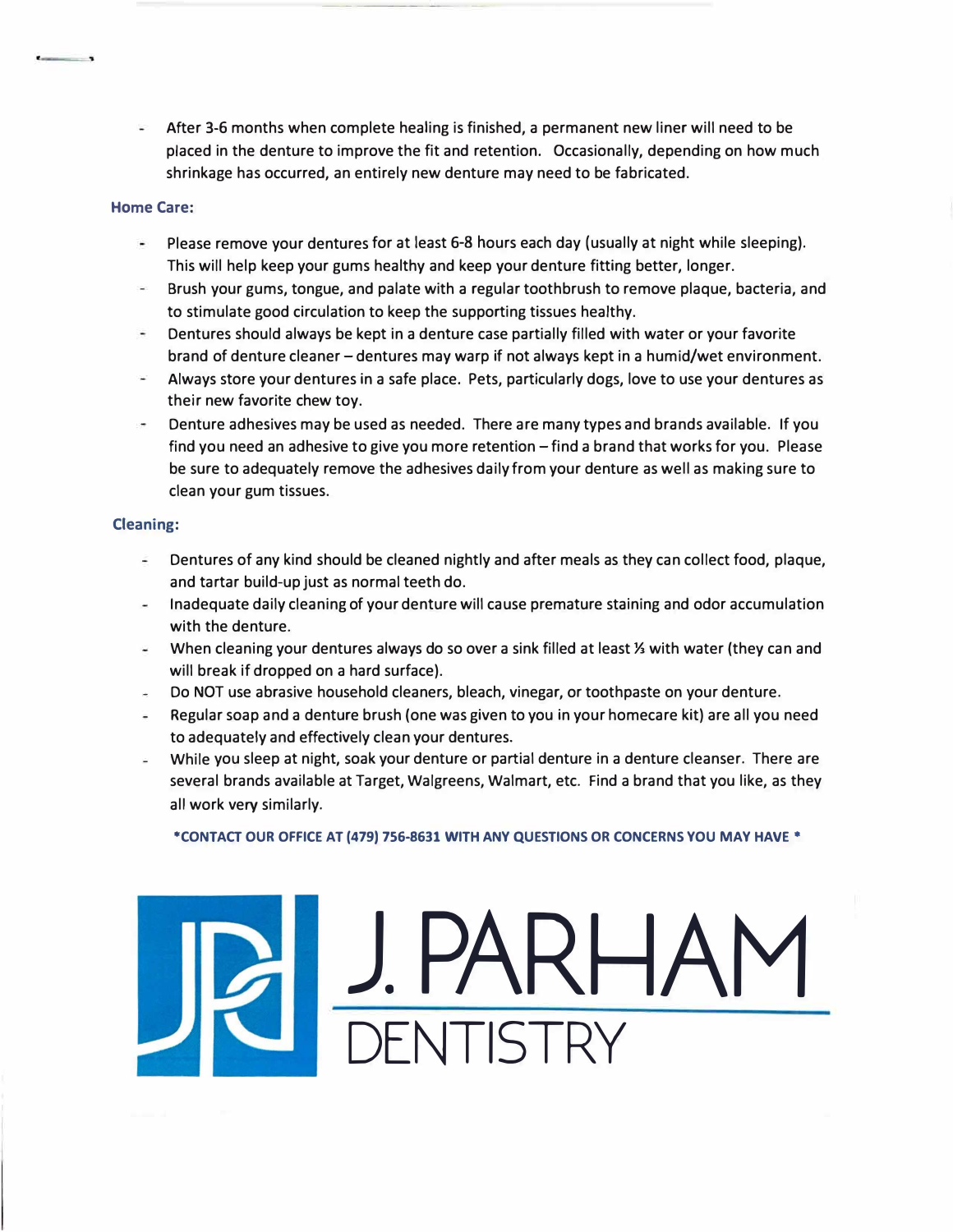After 3-6 months when complete healing is finished, a permanent new liner will need to be placed in the denture to improve the fit and retention. Occasionally, depending on how much shrinkage has occurred, an entirely new denture may need to be fabricated.

### **Home Care:**

- Please remove your dentures for at least 6-8 hours each day (usually at night while sleeping). This will help keep your gums healthy and keep your denture fitting better, longer.
- Brush your gums, tongue, and palate with a regular toothbrush to remove plaque, bacteria, and to stimulate good circulation to keep the supporting tissues healthy.
- $\overline{\phantom{a}}$ Dentures should always be kept in a denture case partially filled with water or your favorite brand of denture cleaner- dentures may warp if not always kept in a humid/wet environment.
- Always store your dentures in a safe place. Pets, particularly dogs, love to use your dentures as their new favorite chew toy.
- Denture adhesives may be used as needed. There are many types and brands available. If you find you need an adhesive to give you more retention - find a brand that works for you. Please be sure to adequately remove the adhesives daily from your denture as well as making sure to clean your gum tissues.

#### **Cleaning:**

- $\sim$ Dentures of any kind should be cleaned nightly and after meals as they can collect food, plaque, and tartar build-up just as normal teeth do.
- Inadequate daily cleaning of your denture will cause premature staining and odor accumulation with the denture.
- When cleaning your dentures always do so over a sink filled at least½ with water (they can and will break if dropped on a hard surface).
- Do NOT use abrasive household cleaners, bleach, vinegar, or toothpaste on your denture.
- Regular soap and a denture brush (one was given to you in your homecare kit) are all you need to adequately and effectively clean your dentures.
- While you sleep at night, soak your denture or partial denture in a denture cleanser. There are several brands available at Target, Walgreens, Walmart, etc. Find a brand that you like, as they all work very similarly.

**\*CONTACT OUR OFFICE AT (479) 756-8631 WITH ANY QUESTIONS OR CONCERNS YOU MAY HAVE\*** 

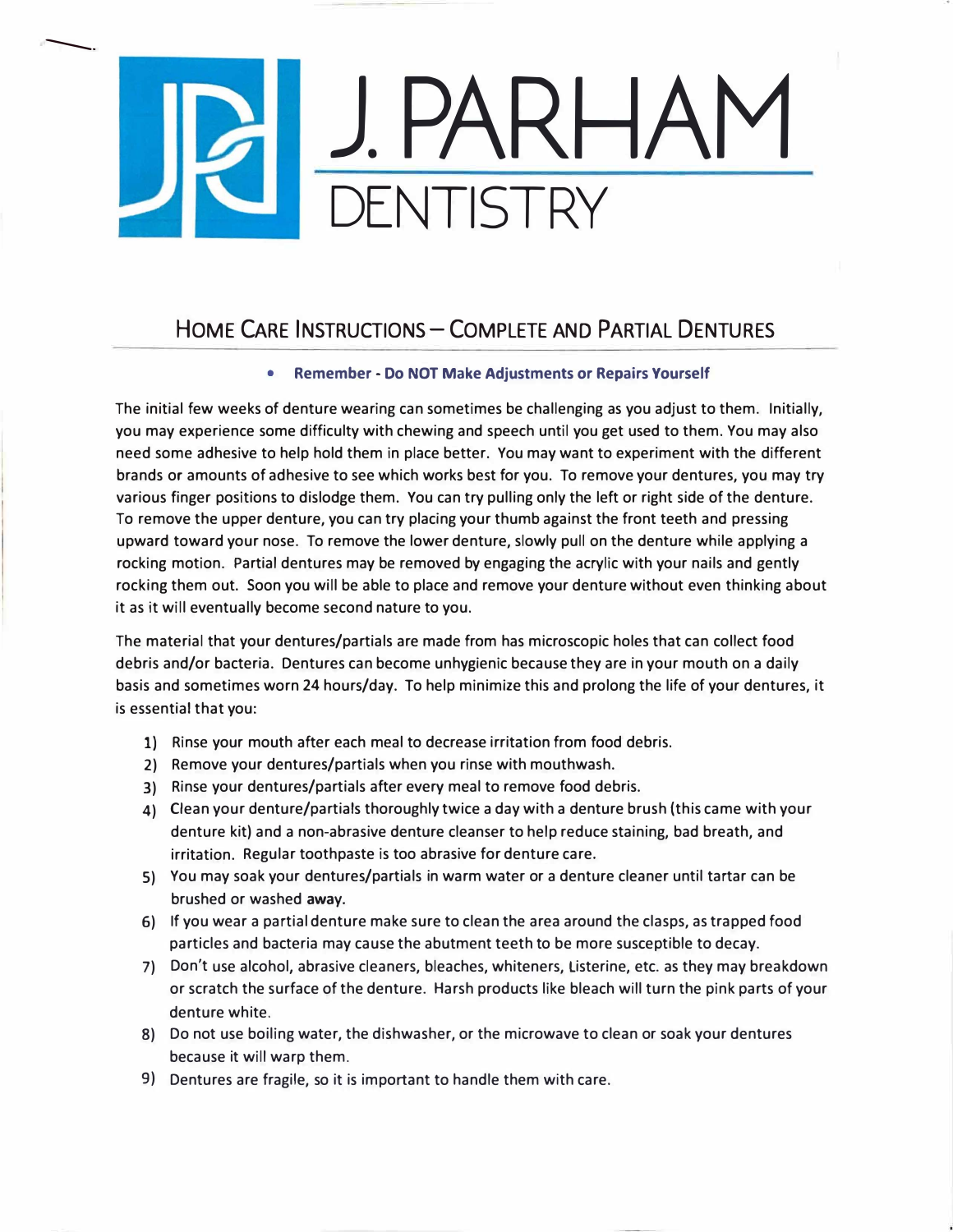# J.PARHAM DENTISTRY

 $\overline{\phantom{0}}$ 

## HOME CARE INSTRUCTIONS - COMPLETE AND PARTIAL DENTURES

### **• Remember - Do NOT Make Adjustments or Repairs Yourself**

The initial few weeks of denture wearing can sometimes be challenging as you adjust to them. Initially, you may experience some difficulty with chewing and speech until you get used to them. You may also need some adhesive to help hold them in place better. You may want to experiment with the different brands or amounts of adhesive to see which works best for you. To remove your dentures, you may try various finger positions to dislodge them. You can try pulling only the left or right side of the denture. To remove the upper denture, you can try placing your thumb against the front teeth and pressing upward toward your nose. To remove the lower denture, slowly pull on the denture while applying a rocking motion. Partial dentures may be removed by engaging the acrylic with your nails and gently rocking them out. Soon you will be able to place and remove your denture without even thinking about it as it will eventually become second nature to you.

The material that your dentures/partials are made from has microscopic holes that can collect food debris and/or bacteria. Dentures can become unhygienic because they are in your mouth on a daily basis and sometimes worn 24 hours/day. To help minimize this and prolong the life of your dentures, it is essential that you:

- **1)** Rinse your mouth after each meal to decrease irritation from food debris.
- 2) Remove your dentures/partials when you rinse with mouthwash.
- 3) Rinse your dentures/partials after every meal to remove food debris.
- 4) Clean your denture/partials thoroughly twice a day with a denture brush (this came with your denture kit) and a non-abrasive denture cleanser to help reduce staining, bad breath, and irritation. Regular toothpaste is too abrasive for denture care.
- S) You may soak your dentures/partials in warm water or a denture cleaner until tartar can be brushed or washed **away.**
- 6) If you wear a partial denture make sure to clean the area around the clasps, as trapped food particles and bacteria may cause the abutment teeth to be more susceptible to decay.
- 7) Don't use alcohol, abrasive cleaners, bleaches, whiteners, Listerine, etc. as they may breakdown or scratch the surface of the denture. Harsh products like bleach will turn the pink parts of your denture white.
- 8) Do not use boiling water, the dishwasher, or the microwave to clean or soak your dentures because it will warp them.
- 9) Dentures are fragile, so it is important to handle them with care.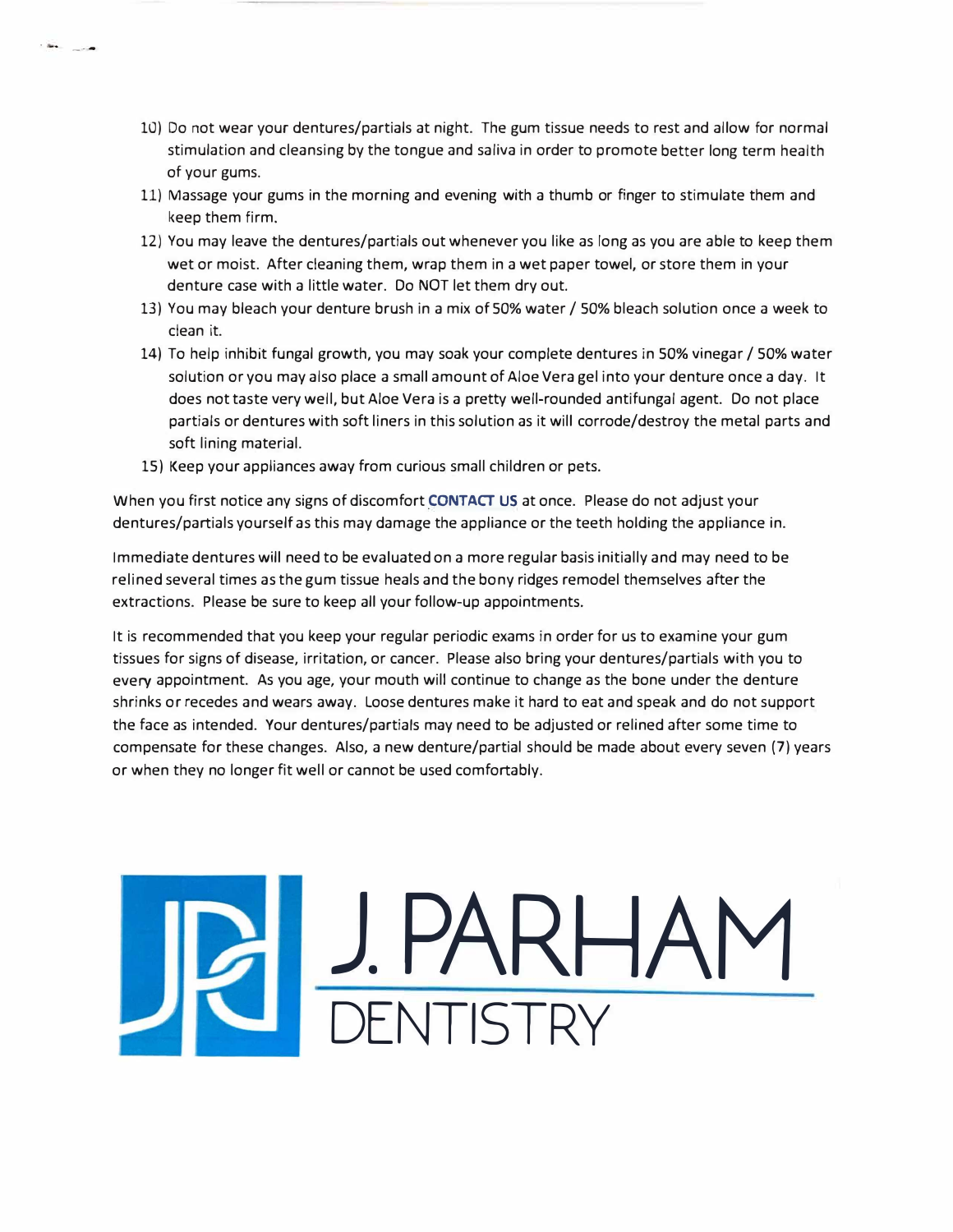- 10) Do not wear your dentures/partials at night. The gum tissue needs to rest and allow for normal stimulation and cleansing by the tongue and saliva in order to promote better long term health of your gums.
- 11) Massage your gums in the morning and evening with a thumb or finger to stimulate them and keep them firm.
- 12) You may leave the dentures/partials out whenever you like as long as you are able to keep them wet or moist. After cleaning them, wrap them in a wet paper towel, or store them in your denture case with a little water. Do NOT let them dry out.
- 13) You may bleach your denture brush in a mix of 50% water / 50% bleach solution once a week to clean it.
- 14) To help inhibit fungal growth, you may soak your complete dentures in 50% vinegar / 50% water solution or you may also place a small amount of Aloe Vera gel into your denture once a day. It does not taste very well, but Aloe Vera is a pretty well-rounded antifungal agent. Do not place partials or dentures with soft liners in this solution as it will corrode/destroy the metal parts and soft lining material.
- 15) Keep your appliances away from curious small children or pets.

. .. --

When you first notice any signs of discomfort **CONTACT US** at once. Please do not adjust your dentures/partials yourself as this may damage the appliance or the teeth holding the appliance in.

Immediate dentures will need to be evaluated on a more regular basis initially and may need to be relined several times as the gum tissue heals and the bony ridges remodel themselves after the extractions. Please be sure to keep all your follow-up appointments.

It is recommended that you keep your regular periodic exams in order for us to examine your gum tissues for signs of disease, irritation, or cancer. Please also bring your dentures/partials with you to every appointment. As you age, your mouth will continue to change as the bone under the denture shrinks or recedes and wears away. Loose dentures make it hard to eat and speak and do not support the face as intended. Your dentures/partials may need to be adjusted or relined after some time to compensate for these changes. Also, a new denture/partial should be made about every seven (7) years or when they no longer fit well or cannot be used comfortably.

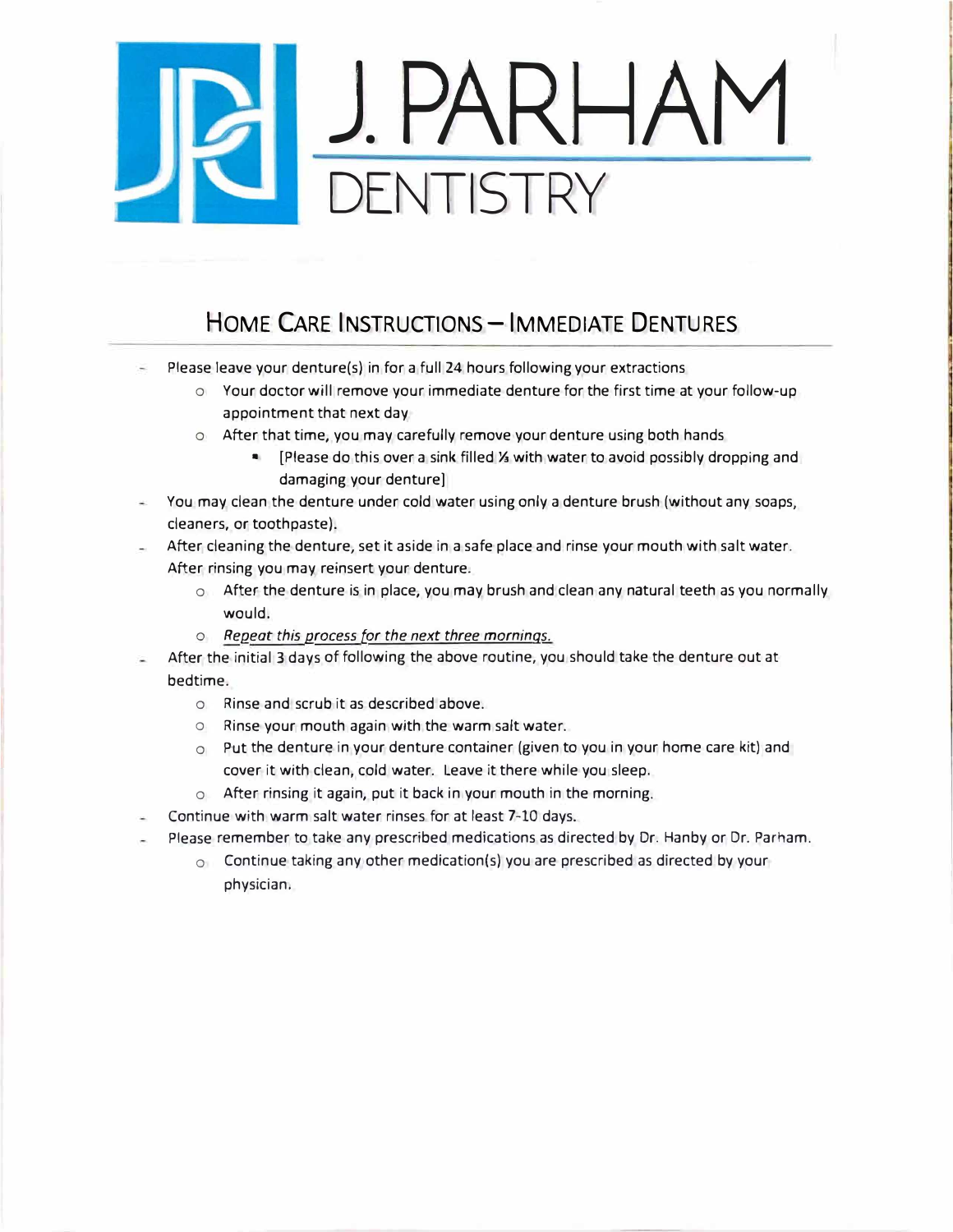## **J.PARHAM ENTISTRY**

## **HOME CARE INSTRUCTIONS-IMMEDIATE DENTURES**

- Please leave your denture(s) in for a full 24 hours following your extractions
	- o Your doctor will remove your immediate denture for the first time at your follow-up appointment that next day
	- o After that time, you may carefully remove your denture using both hands
		- [Please do this over a sink filled ½ with water to avoid possibly dropping and damaging your denture]
- You may clean the denture under cold water using only a denture brush (without any soaps, cleaners, or toothpaste).

After cleaning the denture, set it aside in a safe place and rinse your mouth with salt water. After rinsing you may reinsert your denture.

- o After the denture is in place, you may brush and clean any natural teeth as you normally would.
- o *Repeat this process for the next three mornings.*
- After the initial 3 days of following the above routine, you should take the denture out at bedtime.
	- o Rinse and scrub it as described above.
	- o Rinse your mouth again with the warm salt water.
	- o Put the denture in your denture container (given to you in your home care kit) and cover it with clean, cold water. Leave it there while you sleep.
	- o After rinsing it again, put it back in your mouth in the morning.
- Continue with warm salt water rinses for at least 7-10 days.
- Please remember to take any prescribed medications as directed by Dr. Hanby or Dr. Parham.
	- $\circ$  Continue taking any other medication(s) you are prescribed as directed by your physician.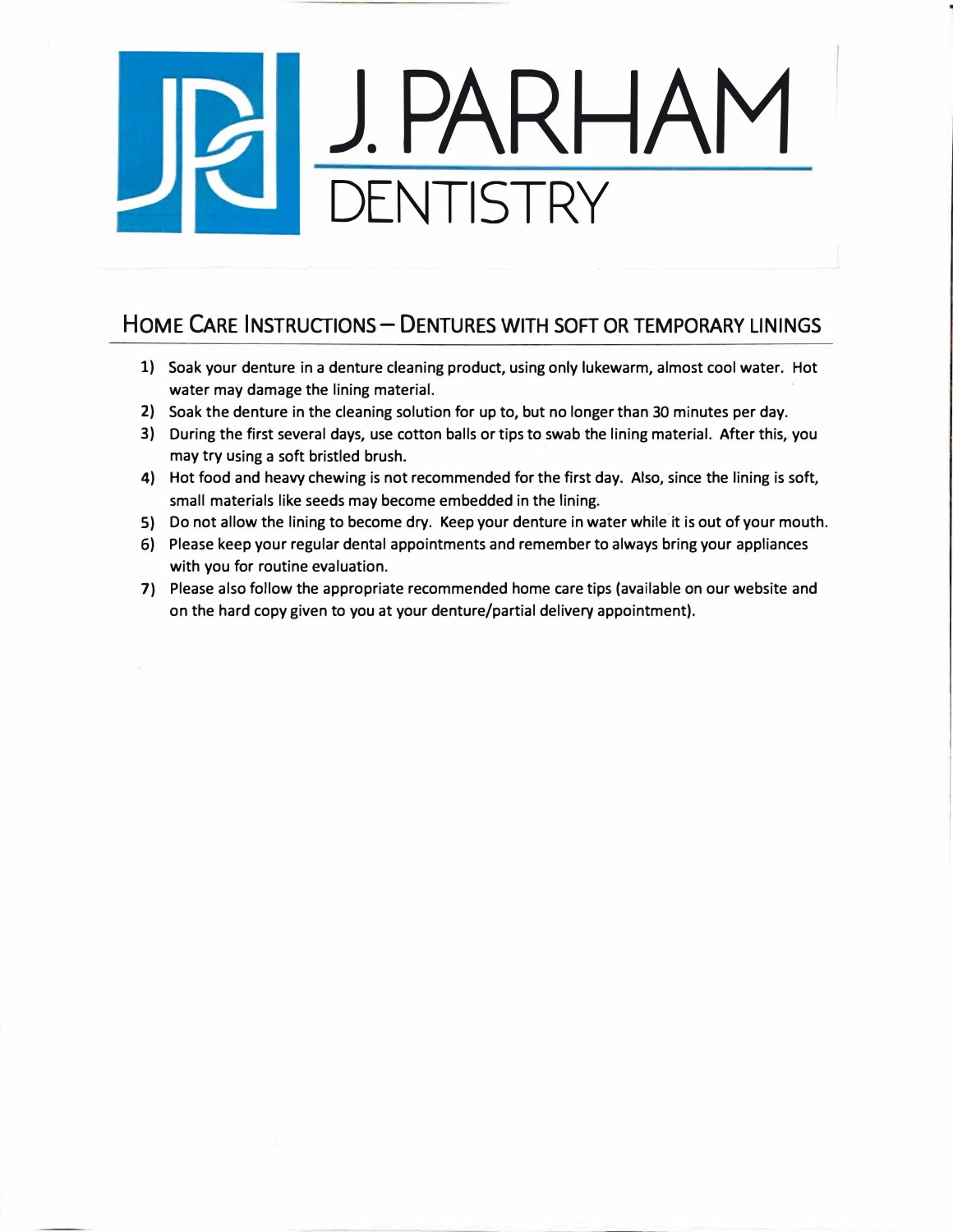# **J.PARHAM DENTISTRY**

### **HOME CARE INSTRUCTIONS- DENTURES WITH SOFT OR TEMPORARY LININGS**

- 1) Soak your denture in a denture cleaning product, using only lukewarm, almost cool water. Hot water may damage the lining material.
- 2) Soak the denture in the cleaning solution for up to, but no longer than 30 minutes per day.
- 3) During the first several days, use cotton balls or tips to swab the lining material. After this, you may try using a soft bristled brush.
- 4) Hot food and heavy chewing is not recommended for the first day. Also, since the lining is soft, small materials like seeds may become embedded in the lining.
- S) Do not allow the lining to become dry. Keep your denture in water while it is out of your mouth.
- 6) Please keep your regular dental appointments and remember to always bring your appliances with you for routine evaluation.
- 7) Please also follow the appropriate recommended home care tips (available on our website and on the hard copy given to you at your denture/partial delivery appointment).